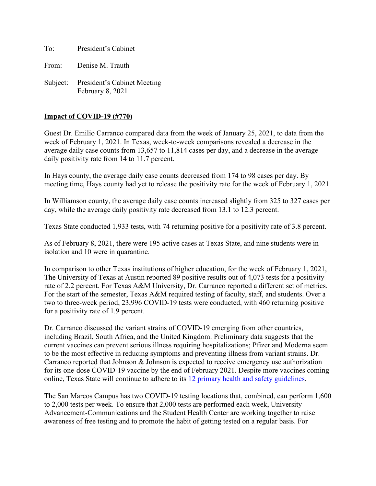To: President's Cabinet

From: Denise M. Trauth

Subject: President's Cabinet Meeting February 8, 2021

#### **Impact of COVID-19 (#770)**

Guest Dr. Emilio Carranco compared data from the week of January 25, 2021, to data from the week of February 1, 2021. In Texas, week-to-week comparisons revealed a decrease in the average daily case counts from 13,657 to 11,814 cases per day, and a decrease in the average daily positivity rate from 14 to 11.7 percent.

In Hays county, the average daily case counts decreased from 174 to 98 cases per day. By meeting time, Hays county had yet to release the positivity rate for the week of February 1, 2021.

In Williamson county, the average daily case counts increased slightly from 325 to 327 cases per day, while the average daily positivity rate decreased from 13.1 to 12.3 percent.

Texas State conducted 1,933 tests, with 74 returning positive for a positivity rate of 3.8 percent.

As of February 8, 2021, there were 195 active cases at Texas State, and nine students were in isolation and 10 were in quarantine.

In comparison to other Texas institutions of higher education, for the week of February 1, 2021, The University of Texas at Austin reported 89 positive results out of 4,073 tests for a positivity rate of 2.2 percent. For Texas A&M University, Dr. Carranco reported a different set of metrics. For the start of the semester, Texas A&M required testing of faculty, staff, and students. Over a two to three-week period, 23,996 COVID-19 tests were conducted, with 460 returning positive for a positivity rate of 1.9 percent.

Dr. Carranco discussed the variant strains of COVID-19 emerging from other countries, including Brazil, South Africa, and the United Kingdom. Preliminary data suggests that the current vaccines can prevent serious illness requiring hospitalizations; Pfizer and Moderna seem to be the most effective in reducing symptoms and preventing illness from variant strains. Dr. Carranco reported that Johnson & Johnson is expected to receive emergency use authorization for its one-dose COVID-19 vaccine by the end of February 2021. Despite more vaccines coming online, Texas State will continue to adhere to its [12 primary health and safety guidelines.](https://www.txstate.edu/coronavirus/road-map/health-and-safety-measures.html)

The San Marcos Campus has two COVID-19 testing locations that, combined, can perform 1,600 to 2,000 tests per week. To ensure that 2,000 tests are performed each week, University Advancement-Communications and the Student Health Center are working together to raise awareness of free testing and to promote the habit of getting tested on a regular basis. For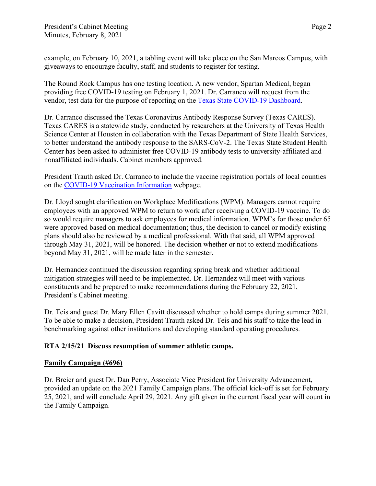example, on February 10, 2021, a tabling event will take place on the San Marcos Campus, with giveaways to encourage faculty, staff, and students to register for testing.

The Round Rock Campus has one testing location. A new vendor, Spartan Medical, began providing free COVID-19 testing on February 1, 2021. Dr. Carranco will request from the vendor, test data for the purpose of reporting on the [Texas State COVID-19 Dashboard.](https://www.txstate.edu/coronavirus/road-map.html)

Dr. Carranco discussed the Texas Coronavirus Antibody Response Survey (Texas CARES). Texas CARES is a statewide study, conducted by researchers at the University of Texas Health Science Center at Houston in collaboration with the Texas Department of State Health Services, to better understand the antibody response to the SARS-CoV-2. The Texas State Student Health Center has been asked to administer free COVID-19 antibody tests to university-affiliated and nonaffiliated individuals. Cabinet members approved.

President Trauth asked Dr. Carranco to include the vaccine registration portals of local counties on the [COVID-19 Vaccination Information](https://www.healthcenter.txstate.edu/covid-19/vaccination.html) webpage.

Dr. Lloyd sought clarification on Workplace Modifications (WPM). Managers cannot require employees with an approved WPM to return to work after receiving a COVID-19 vaccine. To do so would require managers to ask employees for medical information. WPM's for those under 65 were approved based on medical documentation; thus, the decision to cancel or modify existing plans should also be reviewed by a medical professional. With that said, all WPM approved through May 31, 2021, will be honored. The decision whether or not to extend modifications beyond May 31, 2021, will be made later in the semester.

Dr. Hernandez continued the discussion regarding spring break and whether additional mitigation strategies will need to be implemented. Dr. Hernandez will meet with various constituents and be prepared to make recommendations during the February 22, 2021, President's Cabinet meeting.

Dr. Teis and guest Dr. Mary Ellen Cavitt discussed whether to hold camps during summer 2021. To be able to make a decision, President Trauth asked Dr. Teis and his staff to take the lead in benchmarking against other institutions and developing standard operating procedures.

### **RTA 2/15/21 Discuss resumption of summer athletic camps.**

### **Family Campaign (#696)**

Dr. Breier and guest Dr. Dan Perry, Associate Vice President for University Advancement, provided an update on the 2021 Family Campaign plans. The official kick-off is set for February 25, 2021, and will conclude April 29, 2021. Any gift given in the current fiscal year will count in the Family Campaign.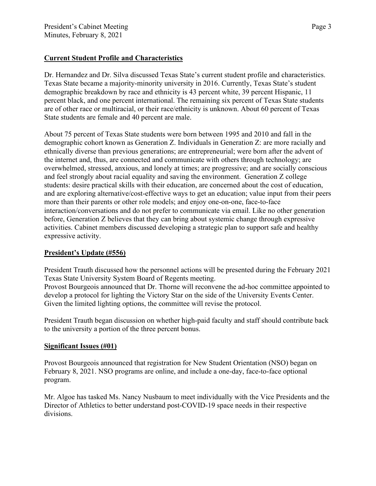# **Current Student Profile and Characteristics**

Dr. Hernandez and Dr. Silva discussed Texas State's current student profile and characteristics. Texas State became a majority-minority university in 2016. Currently, Texas State's student demographic breakdown by race and ethnicity is 43 percent white, 39 percent Hispanic, 11 percent black, and one percent international. The remaining six percent of Texas State students are of other race or multiracial, or their race/ethnicity is unknown. About 60 percent of Texas State students are female and 40 percent are male.

About 75 percent of Texas State students were born between 1995 and 2010 and fall in the demographic cohort known as Generation Z. Individuals in Generation Z: are more racially and ethnically diverse than previous generations; are entrepreneurial; were born after the advent of the internet and, thus, are connected and communicate with others through technology; are overwhelmed, stressed, anxious, and lonely at times; are progressive; and are socially conscious and feel strongly about racial equality and saving the environment. Generation Z college students: desire practical skills with their education, are concerned about the cost of education, and are exploring alternative/cost-effective ways to get an education; value input from their peers more than their parents or other role models; and enjoy one-on-one, face-to-face interaction/conversations and do not prefer to communicate via email. Like no other generation before, Generation Z believes that they can bring about systemic change through expressive activities. Cabinet members discussed developing a strategic plan to support safe and healthy expressive activity.

### **President's Update (#556)**

President Trauth discussed how the personnel actions will be presented during the February 2021 Texas State University System Board of Regents meeting.

Provost Bourgeois announced that Dr. Thorne will reconvene the ad-hoc committee appointed to develop a protocol for lighting the Victory Star on the side of the University Events Center. Given the limited lighting options, the committee will revise the protocol.

President Trauth began discussion on whether high-paid faculty and staff should contribute back to the university a portion of the three percent bonus.

### **Significant Issues (#01)**

Provost Bourgeois announced that registration for New Student Orientation (NSO) began on February 8, 2021. NSO programs are online, and include a one-day, face-to-face optional program.

Mr. Algoe has tasked Ms. Nancy Nusbaum to meet individually with the Vice Presidents and the Director of Athletics to better understand post-COVID-19 space needs in their respective divisions.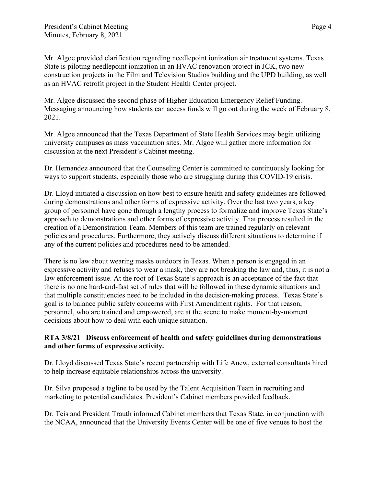Mr. Algoe provided clarification regarding needlepoint ionization air treatment systems. Texas State is piloting needlepoint ionization in an HVAC renovation project in JCK, two new construction projects in the Film and Television Studios building and the UPD building, as well as an HVAC retrofit project in the Student Health Center project.

Mr. Algoe discussed the second phase of Higher Education Emergency Relief Funding. Messaging announcing how students can access funds will go out during the week of February 8, 2021.

Mr. Algoe announced that the Texas Department of State Health Services may begin utilizing university campuses as mass vaccination sites. Mr. Algoe will gather more information for discussion at the next President's Cabinet meeting.

Dr. Hernandez announced that the Counseling Center is committed to continuously looking for ways to support students, especially those who are struggling during this COVID-19 crisis.

Dr. Lloyd initiated a discussion on how best to ensure health and safety guidelines are followed during demonstrations and other forms of expressive activity. Over the last two years, a key group of personnel have gone through a lengthy process to formalize and improve Texas State's approach to demonstrations and other forms of expressive activity. That process resulted in the creation of a Demonstration Team. Members of this team are trained regularly on relevant policies and procedures. Furthermore, they actively discuss different situations to determine if any of the current policies and procedures need to be amended.

There is no law about wearing masks outdoors in Texas. When a person is engaged in an expressive activity and refuses to wear a mask, they are not breaking the law and, thus, it is not a law enforcement issue. At the root of Texas State's approach is an acceptance of the fact that there is no one hard-and-fast set of rules that will be followed in these dynamic situations and that multiple constituencies need to be included in the decision-making process. Texas State's goal is to balance public safety concerns with First Amendment rights. For that reason, personnel, who are trained and empowered, are at the scene to make moment-by-moment decisions about how to deal with each unique situation.

## **RTA 3/8/21 Discuss enforcement of health and safety guidelines during demonstrations and other forms of expressive activity.**

Dr. Lloyd discussed Texas State's recent partnership with Life Anew, external consultants hired to help increase equitable relationships across the university.

Dr. Silva proposed a tagline to be used by the Talent Acquisition Team in recruiting and marketing to potential candidates. President's Cabinet members provided feedback.

Dr. Teis and President Trauth informed Cabinet members that Texas State, in conjunction with the NCAA, announced that the University Events Center will be one of five venues to host the